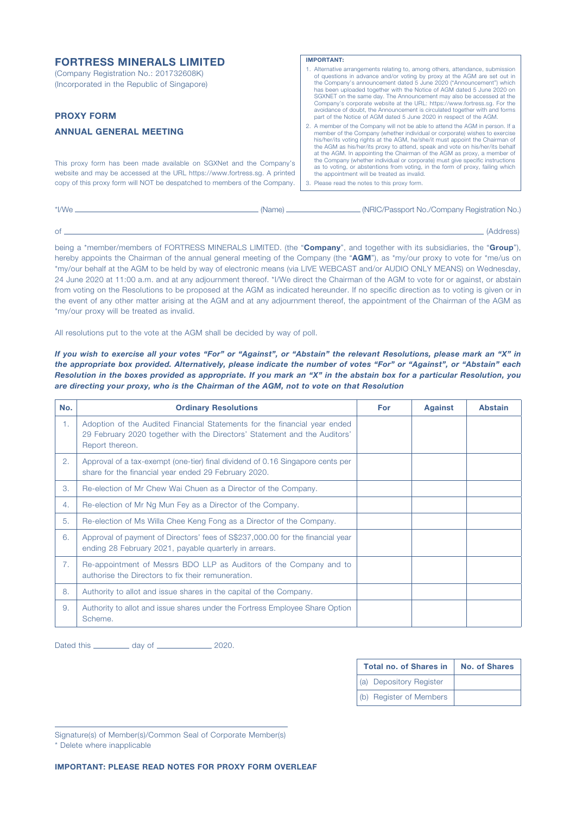| <b>FORTRESS MINERALS LIMITED</b>                                                                                                                                                                                              | <b>IMPORTANT:</b>                                                                                                                                                                                                                                                                                                                                                                                                                                                                                                                                                                                                  |
|-------------------------------------------------------------------------------------------------------------------------------------------------------------------------------------------------------------------------------|--------------------------------------------------------------------------------------------------------------------------------------------------------------------------------------------------------------------------------------------------------------------------------------------------------------------------------------------------------------------------------------------------------------------------------------------------------------------------------------------------------------------------------------------------------------------------------------------------------------------|
| (Company Registration No.: 201732608K)<br>(Incorporated in the Republic of Singapore)<br><b>PROXY FORM</b>                                                                                                                    | 1. Alternative arrangements relating to, among others, attendance, submission<br>of questions in advance and/or voting by proxy at the AGM are set out in<br>the Company's announcement dated 5 June 2020 ("Announcement") which<br>has been uploaded together with the Notice of AGM dated 5 June 2020 on<br>SGXNET on the same day. The Announcement may also be accessed at the<br>Company's corporate website at the URL: https://www.fortress.sq. For the<br>avoidance of doubt, the Announcement is circulated together with and forms<br>part of the Notice of AGM dated 5 June 2020 in respect of the AGM. |
| <b>ANNUAL GENERAL MEETING</b>                                                                                                                                                                                                 | 2. A member of the Company will not be able to attend the AGM in person. If a<br>member of the Company (whether individual or corporate) wishes to exercise<br>his/her/its voting rights at the AGM, he/she/it must appoint the Chairman of                                                                                                                                                                                                                                                                                                                                                                        |
| This proxy form has been made available on SGXNet and the Company's<br>website and may be accessed at the URL https://www.fortress.sq. A printed<br>copy of this proxy form will NOT be despatched to members of the Company. | the AGM as his/her/its proxy to attend, speak and vote on his/her/its behalf<br>at the AGM. In appointing the Chairman of the AGM as proxy, a member of<br>the Company (whether individual or corporate) must give specific instructions<br>as to voting, or abstentions from voting, in the form of proxy, failing which<br>the appointment will be treated as invalid.<br>3. Please read the notes to this proxy form.                                                                                                                                                                                           |
|                                                                                                                                                                                                                               |                                                                                                                                                                                                                                                                                                                                                                                                                                                                                                                                                                                                                    |

| *I/We | (Name) | . (NRIC/Passport No./Company Registration No.) |
|-------|--------|------------------------------------------------|
|       |        |                                                |
|       |        |                                                |

of (Address)

being a \*member/members of FORTRESS MINERALS LIMITED. (the "Company", and together with its subsidiaries, the "Group"), hereby appoints the Chairman of the annual general meeting of the Company (the "AGM"), as \*my/our proxy to vote for \*me/us on \*my/our behalf at the AGM to be held by way of electronic means (via LIVE WEBCAST and/or AUDIO ONLY MEANS) on Wednesday, 24 June 2020 at 11:00 a.m. and at any adjournment thereof. \*I/We direct the Chairman of the AGM to vote for or against, or abstain from voting on the Resolutions to be proposed at the AGM as indicated hereunder. If no specific direction as to voting is given or in the event of any other matter arising at the AGM and at any adjournment thereof, the appointment of the Chairman of the AGM as \*my/our proxy will be treated as invalid.

All resolutions put to the vote at the AGM shall be decided by way of poll.

*If you wish to exercise all your votes "For" or "Against", or "Abstain" the relevant Resolutions, please mark an "X" in the appropriate box provided. Alternatively, please indicate the number of votes "For" or "Against", or "Abstain" each Resolution in the boxes provided as appropriate. If you mark an "X" in the abstain box for a particular Resolution, you are directing your proxy, who is the Chairman of the AGM, not to vote on that Resolution*

| No. | <b>Ordinary Resolutions</b>                                                                                                                                               | For | <b>Against</b> | <b>Abstain</b> |
|-----|---------------------------------------------------------------------------------------------------------------------------------------------------------------------------|-----|----------------|----------------|
| 1.  | Adoption of the Audited Financial Statements for the financial year ended<br>29 February 2020 together with the Directors' Statement and the Auditors'<br>Report thereon. |     |                |                |
| 2.  | Approval of a tax-exempt (one-tier) final dividend of 0.16 Singapore cents per<br>share for the financial year ended 29 February 2020.                                    |     |                |                |
| 3.  | Re-election of Mr Chew Wai Chuen as a Director of the Company.                                                                                                            |     |                |                |
| 4.  | Re-election of Mr Ng Mun Fey as a Director of the Company.                                                                                                                |     |                |                |
| 5.  | Re-election of Ms Willa Chee Keng Fong as a Director of the Company.                                                                                                      |     |                |                |
| 6.  | Approval of payment of Directors' fees of S\$237,000.00 for the financial year<br>ending 28 February 2021, payable quarterly in arrears.                                  |     |                |                |
| 7.  | Re-appointment of Messrs BDO LLP as Auditors of the Company and to<br>authorise the Directors to fix their remuneration.                                                  |     |                |                |
| 8.  | Authority to allot and issue shares in the capital of the Company.                                                                                                        |     |                |                |
| 9.  | Authority to allot and issue shares under the Fortress Employee Share Option<br>Scheme.                                                                                   |     |                |                |

Dated this \_\_\_\_\_\_\_\_\_\_ day of \_\_\_\_\_\_\_\_\_\_\_\_\_\_\_\_ 2020.

| <b>Total no. of Shares in</b> | <b>No. of Shares</b> |
|-------------------------------|----------------------|
| (a) Depository Register       |                      |
| (b) Register of Members       |                      |

Signature(s) of Member(s)/Common Seal of Corporate Member(s)

\* Delete where inapplicable

IMPORTANT: PLEASE READ NOTES FOR PROXY FORM OVERLEAF